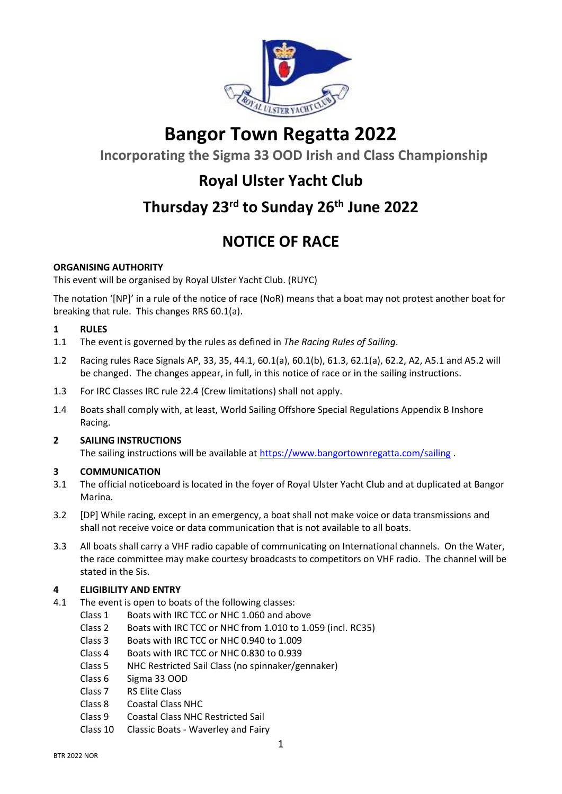

# **Bangor Town Regatta 2022**

**Incorporating the Sigma 33 OOD Irish and Class Championship**

## **Royal Ulster Yacht Club**

# **Thursday 23rd to Sunday 26th June 2022**

## **NOTICE OF RACE**

## **ORGANISING AUTHORITY**

This event will be organised by Royal Ulster Yacht Club. (RUYC)

The notation '[NP]' in a rule of the notice of race (NoR) means that a boat may not protest another boat for breaking that rule. This changes RRS 60.1(a).

## **1 RULES**

- 1.1 The event is governed by the rules as defined in *The Racing Rules of Sailing*.
- 1.2 Racing rules Race Signals AP, 33, 35, 44.1, 60.1(a), 60.1(b), 61.3, 62.1(a), 62.2, A2, A5.1 and A5.2 will be changed. The changes appear, in full, in this notice of race or in the sailing instructions.
- 1.3 For IRC Classes IRC rule 22.4 (Crew limitations) shall not apply.
- 1.4 Boats shall comply with, at least, World Sailing Offshore Special Regulations Appendix B Inshore Racing.

## **2 SAILING INSTRUCTIONS**

The sailing instructions will be available at <https://www.bangortownregatta.com/sailing> .

## **3 COMMUNICATION**

- 3.1 The official noticeboard is located in the foyer of Royal Ulster Yacht Club and at duplicated at Bangor Marina.
- 3.2 [DP] While racing, except in an emergency, a boat shall not make voice or data transmissions and shall not receive voice or data communication that is not available to all boats.
- 3.3 All boats shall carry a VHF radio capable of communicating on International channels. On the Water, the race committee may make courtesy broadcasts to competitors on VHF radio. The channel will be stated in the Sis.

## **4 ELIGIBILITY AND ENTRY**

- 4.1 The event is open to boats of the following classes:
	- Class 1 Boats with IRC TCC or NHC 1.060 and above
	- Class 2 Boats with IRC TCC or NHC from 1.010 to 1.059 (incl. RC35)
	- Class 3 Boats with IRC TCC or NHC 0.940 to 1.009
	- Class 4 Boats with IRC TCC or NHC 0.830 to 0.939
	- Class 5 NHC Restricted Sail Class (no spinnaker/gennaker)
	- Class 6 Sigma 33 OOD
	- Class 7 RS Elite Class
	- Class 8 Coastal Class NHC
	- Class 9 Coastal Class NHC Restricted Sail
	- Class 10 Classic Boats Waverley and Fairy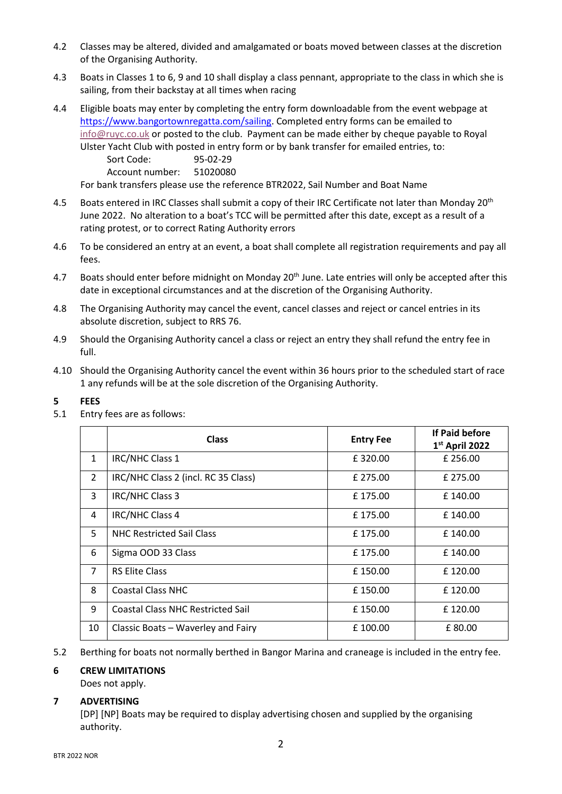- 4.2 Classes may be altered, divided and amalgamated or boats moved between classes at the discretion of the Organising Authority.
- 4.3 Boats in Classes 1 to 6, 9 and 10 shall display a class pennant, appropriate to the class in which she is sailing, from their backstay at all times when racing
- 4.4 Eligible boats may enter by completing the entry form downloadable from the event webpage at [https://www.bangortownregatta.com/sailing.](https://www.bangortownregatta.com/sailing) Completed entry forms can be emailed to [info@ruyc.co.uk](mailto:info@ruyc.co.uk) or posted to the club. Payment can be made either by cheque payable to Royal Ulster Yacht Club with posted in entry form or by bank transfer for emailed entries, to:

Sort Code: 95-02-29

Account number: 51020080

For bank transfers please use the reference BTR2022, Sail Number and Boat Name

- 4.5 Boats entered in IRC Classes shall submit a copy of their IRC Certificate not later than Monday 20<sup>th</sup> June 2022. No alteration to a boat's TCC will be permitted after this date, except as a result of a rating protest, or to correct Rating Authority errors
- 4.6 To be considered an entry at an event, a boat shall complete all registration requirements and pay all fees.
- 4.7 Boats should enter before midnight on Monday 20<sup>th</sup> June. Late entries will only be accepted after this date in exceptional circumstances and at the discretion of the Organising Authority.
- 4.8 The Organising Authority may cancel the event, cancel classes and reject or cancel entries in its absolute discretion, subject to RRS 76.
- 4.9 Should the Organising Authority cancel a class or reject an entry they shall refund the entry fee in full.
- 4.10 Should the Organising Authority cancel the event within 36 hours prior to the scheduled start of race 1 any refunds will be at the sole discretion of the Organising Authority.

#### **5 FEES**

5.1 Entry fees are as follows:

|                | <b>Class</b>                             | <b>Entry Fee</b> | If Paid before<br>$1st$ April 2022 |
|----------------|------------------------------------------|------------------|------------------------------------|
| $\mathbf{1}$   | IRC/NHC Class 1                          | £320.00          | £ 256.00                           |
| $\overline{2}$ | IRC/NHC Class 2 (incl. RC 35 Class)      | £ 275.00         | £ 275.00                           |
| 3              | IRC/NHC Class 3                          | £175.00          | £140.00                            |
| 4              | IRC/NHC Class 4                          | £175.00          | £140.00                            |
| 5              | <b>NHC Restricted Sail Class</b>         | £175.00          | £140.00                            |
| 6              | Sigma OOD 33 Class                       | £175.00          | £140.00                            |
| $\overline{7}$ | <b>RS Elite Class</b>                    | £150.00          | £120.00                            |
| 8              | <b>Coastal Class NHC</b>                 | £150.00          | £120.00                            |
| 9              | <b>Coastal Class NHC Restricted Sail</b> | £150.00          | £120.00                            |
| 10             | Classic Boats - Waverley and Fairy       | £100.00          | £80.00                             |

5.2 Berthing for boats not normally berthed in Bangor Marina and craneage is included in the entry fee.

#### **6 CREW LIMITATIONS**

Does not apply.

#### **7 ADVERTISING**

[DP] [NP] Boats may be required to display advertising chosen and supplied by the organising authority.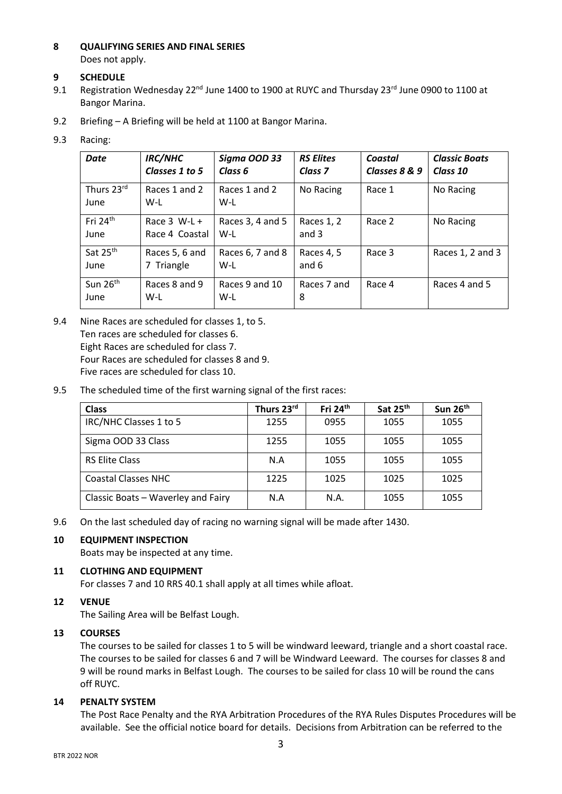## **8 QUALIFYING SERIES AND FINAL SERIES** Does not apply.

**9 SCHEDULE**

- 9.1 Registration Wednesday 22<sup>nd</sup> June 1400 to 1900 at RUYC and Thursday 23<sup>rd</sup> June 0900 to 1100 at Bangor Marina.
- 9.2 Briefing A Briefing will be held at 1100 at Bangor Marina.

## 9.3 Racing:

| <b>Date</b>                  | <b>IRC/NHC</b><br>Classes 1 to 5 | Sigma OOD 33<br>Class 6   | <b>RS Elites</b><br>Class <sub>7</sub> | Coastal<br>Classes 8 & 9 | <b>Classic Boats</b><br>Class 10 |
|------------------------------|----------------------------------|---------------------------|----------------------------------------|--------------------------|----------------------------------|
| Thurs 23rd<br>June           | Races 1 and 2<br>W-L             | Races 1 and 2<br>W-L      | No Racing                              | Race 1                   | No Racing                        |
| Fri 24 <sup>th</sup><br>June | Race $3$ W-L +<br>Race 4 Coastal | Races 3, 4 and 5<br>$W-L$ | Races 1, 2<br>and $3$                  | Race 2                   | No Racing                        |
| Sat 25th<br>June             | Races 5, 6 and<br>7 Triangle     | Races 6, 7 and 8<br>$W-L$ | Races 4, 5<br>and 6                    | Race 3                   | Races 1, 2 and 3                 |
| Sun 26 <sup>th</sup><br>June | Races 8 and 9<br>W-L             | Races 9 and 10<br>W-L     | Races 7 and<br>8                       | Race 4                   | Races 4 and 5                    |

- 9.4 Nine Races are scheduled for classes 1, to 5. Ten races are scheduled for classes 6. Eight Races are scheduled for class 7. Four Races are scheduled for classes 8 and 9. Five races are scheduled for class 10.
- 9.5 The scheduled time of the first warning signal of the first races:

| <b>Class</b>                       | Thurs 23rd | Fri 24th | Sat 25 <sup>th</sup> | Sun 26 <sup>th</sup> |
|------------------------------------|------------|----------|----------------------|----------------------|
| IRC/NHC Classes 1 to 5             | 1255       | 0955     | 1055                 | 1055                 |
| Sigma OOD 33 Class                 | 1255       | 1055     | 1055                 | 1055                 |
| <b>RS Elite Class</b>              | N.A        | 1055     | 1055                 | 1055                 |
| <b>Coastal Classes NHC</b>         | 1225       | 1025     | 1025                 | 1025                 |
| Classic Boats - Waverley and Fairy | N.A        | N.A.     | 1055                 | 1055                 |

9.6 On the last scheduled day of racing no warning signal will be made after 1430.

## **10 EQUIPMENT INSPECTION**

Boats may be inspected at any time.

## **11 CLOTHING AND EQUIPMENT**

For classes 7 and 10 RRS 40.1 shall apply at all times while afloat.

## **12 VENUE**

The Sailing Area will be Belfast Lough.

## **13 COURSES**

The courses to be sailed for classes 1 to 5 will be windward leeward, triangle and a short coastal race. The courses to be sailed for classes 6 and 7 will be Windward Leeward. The courses for classes 8 and 9 will be round marks in Belfast Lough. The courses to be sailed for class 10 will be round the cans off RUYC.

## **14 PENALTY SYSTEM**

The Post Race Penalty and the RYA Arbitration Procedures of the RYA Rules Disputes Procedures will be available. See the official notice board for details. Decisions from Arbitration can be referred to the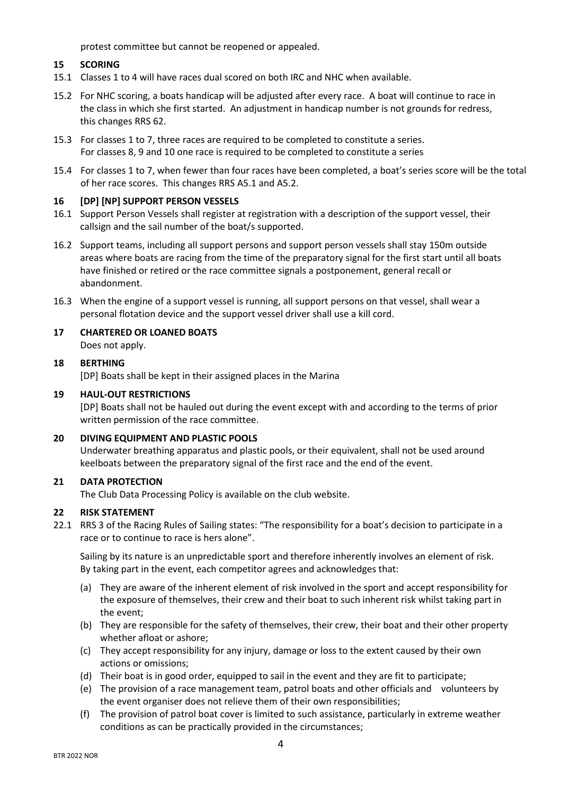protest committee but cannot be reopened or appealed.

## **15 SCORING**

- 15.1 Classes 1 to 4 will have races dual scored on both IRC and NHC when available.
- 15.2 For NHC scoring, a boats handicap will be adjusted after every race. A boat will continue to race in the class in which she first started. An adjustment in handicap number is not grounds for redress, this changes RRS 62.
- 15.3 For classes 1 to 7, three races are required to be completed to constitute a series. For classes 8, 9 and 10 one race is required to be completed to constitute a series
- 15.4 For classes 1 to 7, when fewer than four races have been completed, a boat's series score will be the total of her race scores. This changes RRS A5.1 and A5.2.

## **16 [DP] [NP] SUPPORT PERSON VESSELS**

- 16.1 Support Person Vessels shall register at registration with a description of the support vessel, their callsign and the sail number of the boat/s supported.
- 16.2 Support teams, including all support persons and support person vessels shall stay 150m outside areas where boats are racing from the time of the preparatory signal for the first start until all boats have finished or retired or the race committee signals a postponement, general recall or abandonment.
- 16.3 When the engine of a support vessel is running, all support persons on that vessel, shall wear a personal flotation device and the support vessel driver shall use a kill cord.
- **17 CHARTERED OR LOANED BOATS** Does not apply.

## **18 BERTHING**

[DP] Boats shall be kept in their assigned places in the Marina

#### **19 HAUL-OUT RESTRICTIONS**

[DP] Boats shall not be hauled out during the event except with and according to the terms of prior written permission of the race committee.

#### **20 DIVING EQUIPMENT AND PLASTIC POOLS**

Underwater breathing apparatus and plastic pools, or their equivalent, shall not be used around keelboats between the preparatory signal of the first race and the end of the event.

#### **21 DATA PROTECTION**

The Club Data Processing Policy is available on the club website.

#### **22 RISK STATEMENT**

22.1 RRS 3 of the Racing Rules of Sailing states: "The responsibility for a boat's decision to participate in a race or to continue to race is hers alone".

Sailing by its nature is an unpredictable sport and therefore inherently involves an element of risk. By taking part in the event, each competitor agrees and acknowledges that:

- (a) They are aware of the inherent element of risk involved in the sport and accept responsibility for the exposure of themselves, their crew and their boat to such inherent risk whilst taking part in the event;
- (b) They are responsible for the safety of themselves, their crew, their boat and their other property whether afloat or ashore;
- (c) They accept responsibility for any injury, damage or loss to the extent caused by their own actions or omissions;
- (d) Their boat is in good order, equipped to sail in the event and they are fit to participate;
- (e) The provision of a race management team, patrol boats and other officials and volunteers by the event organiser does not relieve them of their own responsibilities;
- (f) The provision of patrol boat cover is limited to such assistance, particularly in extreme weather conditions as can be practically provided in the circumstances;